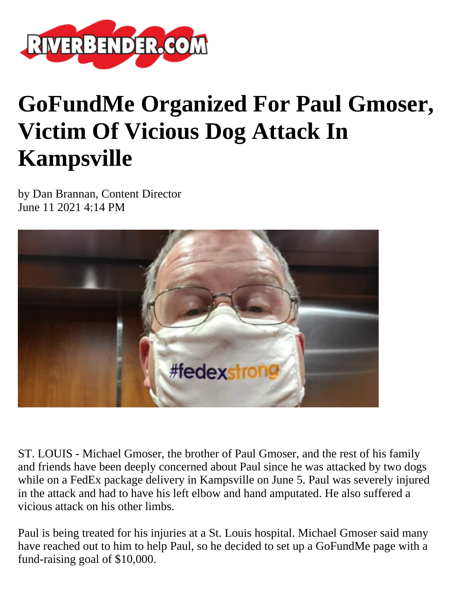

## **GoFundMe Organized For Paul Gmoser, Victim Of Vicious Dog Attack In Kampsville**

by Dan Brannan, Content Director June 11 2021 4:14 PM



ST. LOUIS - Michael Gmoser, the brother of Paul Gmoser, and the rest of his family and friends have been deeply concerned about Paul since he was attacked by two dogs while on a FedEx package delivery in Kampsville on June 5. Paul was severely injured in the attack and had to have his left elbow and hand amputated. He also suffered a vicious attack on his other limbs.

Paul is being treated for his injuries at a St. Louis hospital. Michael Gmoser said many have reached out to him to help Paul, so he decided to set up a GoFundMe page with a fund-raising goal of \$10,000.